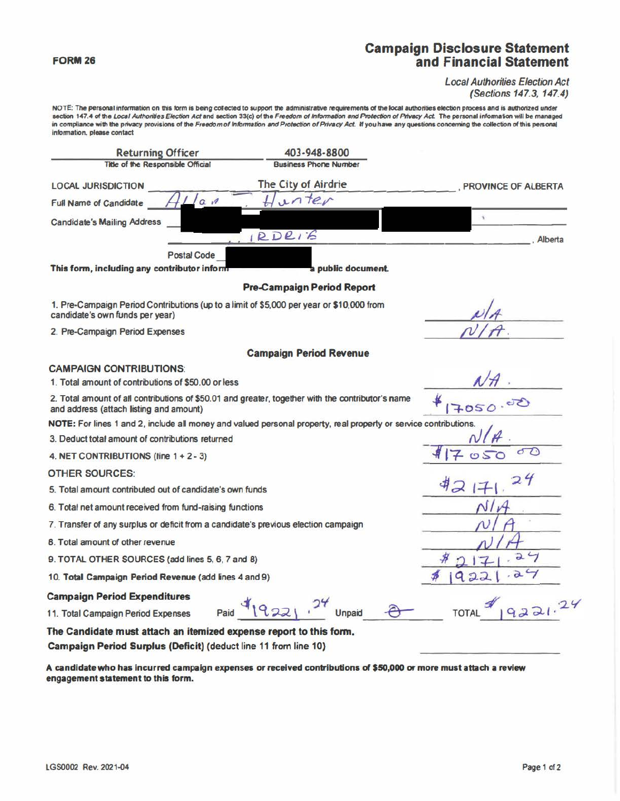## **Campaign Disclosure Statement** and Financial Statement

## **Local Authorities Election Act** (Sections 147.3, 147.4)

NOTE: The personal information on this form is being collected to support the administrative requirements of the local authorities election process and is authorized under section 147.4 of the Local Authorities Election Act and section 33(c) of the Freedom of Information and Protection of Privacy Act. The personal information will be managed in compliance with the privacy provisions of the Freedom of Information and Protection of Privacy Act. If you have any questions concerning the collection of this personal information, please contact

403-948-8800 **Returning Officer** Title of the Responsible Official **Business Phone Number** The City of Airdrie **LOCAL JURISDICTION** PROVINCE OF ALBERTA Hunter **Full Name of Candidate**  $G$   $M$ × **Candidate's Mailing Address**  $DDEIB$ Alberta **Postal Code** This form, including any contributor inform public document. **Pre-Campaign Period Report** 1. Pre-Campaign Period Contributions (up to a limit of \$5,000 per year or \$10,000 from candidate's own funds per year) 2. Pre-Campaign Period Expenses **Campaign Period Revenue CAMPAIGN CONTRIBUTIONS:** 1. Total amount of contributions of \$50.00 or less 2. Total amount of all contributions of \$50.01 and greater, together with the contributor's name 7050 and address (attach listing and amount) NOTE: For lines 1 and 2, include all money and valued personal property, real property or service contributions 3. Deduct total amount of contributions returned ☎ 4. NET CONTRIBUTIONS (line 1 + 2 - 3) **OTHER SOURCES:** 5. Total amount contributed out of candidate's own funds 6. Total net amount received from fund-raising functions 7. Transfer of any surplus or deficit from a candidate's previous election campaign 8. Total amount of other revenue  $24$ 9. TOTAL OTHER SOURCES (add lines 5, 6, 7 and 8) 10. Total Campaign Period Revenue (add lines 4 and 9)  $2 -$ **Campaign Period Expenditures** 9221.24  $Paul$   $(922)$   $^{2}$ Unpaid 11. Total Campaign Period Expenses The Candidate must attach an itemized expense report to this form. Campaign Period Surplus (Deficit) (deduct line 11 from line 10)

A candidate who has incurred campaign expenses or received contributions of \$50,000 or more must attach a review engagement statement to this form.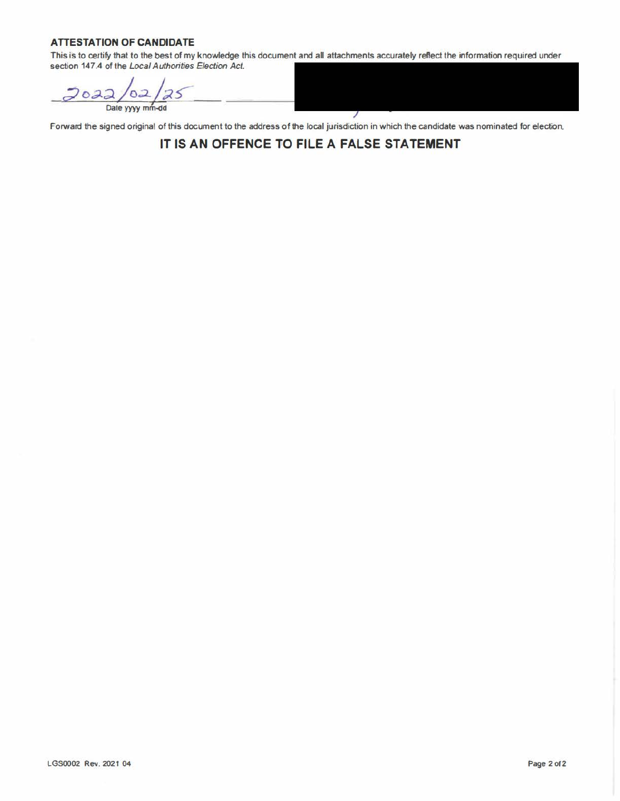## **ATTESTATION OF CANDIDATE**

This is to certify that to the best of my knowledge this document and all attachments accurately reflect the information required under section 147.4 of the Local Authorities Election Act.

 $202$ Date yyyy mm-dd

Forward the signed original of this document to the address of the local jurisdiction in which the candidate was nominated for election.

**IT IS AN OFFENCE TO FILE A FALSE STATEMENT**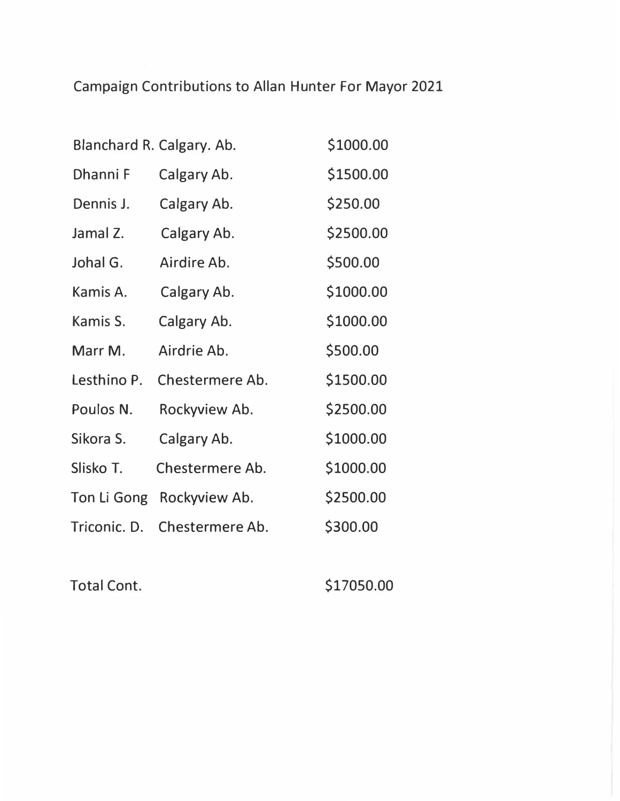Campaign Contributions to Allan Hunter For Mayor 2021

|              | Blanchard R. Calgary. Ab. | \$1000.00 |
|--------------|---------------------------|-----------|
| Dhanni F     | Calgary Ab.               | \$1500.00 |
| Dennis J.    | Calgary Ab.               | \$250.00  |
| Jamal Z.     | Calgary Ab.               | \$2500.00 |
| Johal G.     | Airdire Ab.               | \$500.00  |
| Kamis A.     | Calgary Ab.               | \$1000.00 |
| Kamis S.     | Calgary Ab.               | \$1000.00 |
| Marr M.      | Airdrie Ab.               | \$500.00  |
| Lesthino P.  | Chestermere Ab.           | \$1500.00 |
| Poulos N.    | Rockyview Ab.             | \$2500.00 |
| Sikora S.    | Calgary Ab.               | \$1000.00 |
| Slisko T.    | Chestermere Ab.           | \$1000.00 |
| Ton Li Gong  | Rockyview Ab.             | \$2500.00 |
| Triconic. D. | Chestermere Ab.           | \$300.00  |

Total Cont. \$17050.00